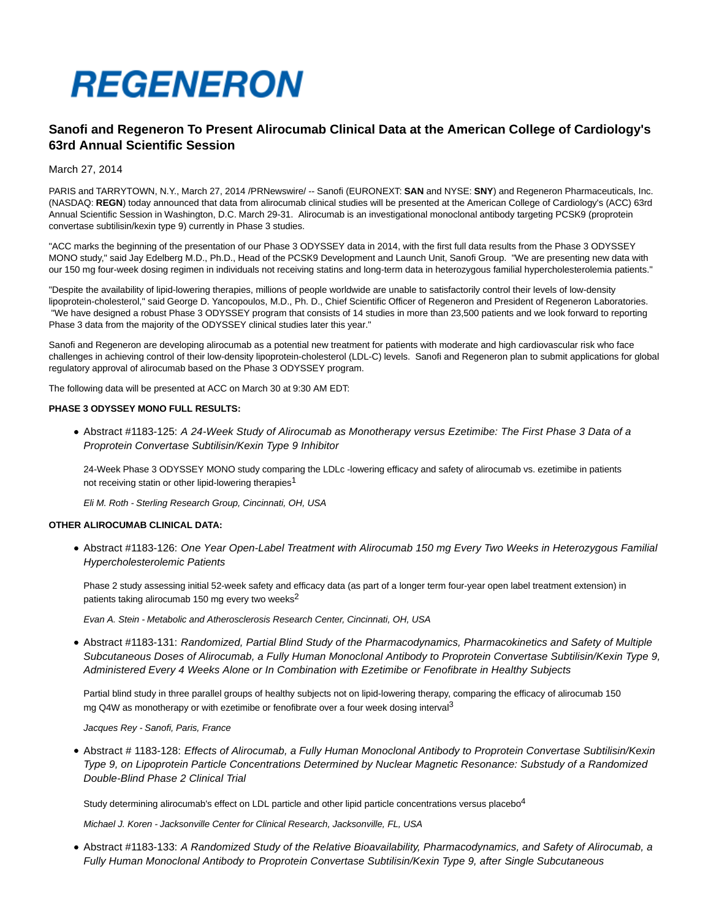

# **Sanofi and Regeneron To Present Alirocumab Clinical Data at the American College of Cardiology's 63rd Annual Scientific Session**

March 27, 2014

PARIS and TARRYTOWN, N.Y., March 27, 2014 /PRNewswire/ -- Sanofi (EURONEXT: **SAN** and NYSE: **SNY**) and Regeneron Pharmaceuticals, Inc. (NASDAQ: **REGN**) today announced that data from alirocumab clinical studies will be presented at the American College of Cardiology's (ACC) 63rd Annual Scientific Session in Washington, D.C. March 29-31. Alirocumab is an investigational monoclonal antibody targeting PCSK9 (proprotein convertase subtilisin/kexin type 9) currently in Phase 3 studies.

"ACC marks the beginning of the presentation of our Phase 3 ODYSSEY data in 2014, with the first full data results from the Phase 3 ODYSSEY MONO study," said Jay Edelberg M.D., Ph.D., Head of the PCSK9 Development and Launch Unit, Sanofi Group. "We are presenting new data with our 150 mg four-week dosing regimen in individuals not receiving statins and long-term data in heterozygous familial hypercholesterolemia patients."

"Despite the availability of lipid-lowering therapies, millions of people worldwide are unable to satisfactorily control their levels of low-density lipoprotein-cholesterol," said George D. Yancopoulos, M.D., Ph. D., Chief Scientific Officer of Regeneron and President of Regeneron Laboratories. "We have designed a robust Phase 3 ODYSSEY program that consists of 14 studies in more than 23,500 patients and we look forward to reporting Phase 3 data from the majority of the ODYSSEY clinical studies later this year."

Sanofi and Regeneron are developing alirocumab as a potential new treatment for patients with moderate and high cardiovascular risk who face challenges in achieving control of their low-density lipoprotein-cholesterol (LDL-C) levels. Sanofi and Regeneron plan to submit applications for global regulatory approval of alirocumab based on the Phase 3 ODYSSEY program.

The following data will be presented at ACC on March 30 at 9:30 AM EDT:

# **PHASE 3 ODYSSEY MONO FULL RESULTS:**

Abstract #1183-125: A 24-Week Study of Alirocumab as Monotherapy versus Ezetimibe: The First Phase 3 Data of a Proprotein Convertase Subtilisin/Kexin Type 9 Inhibitor

24-Week Phase 3 ODYSSEY MONO study comparing the LDLc -lowering efficacy and safety of alirocumab vs. ezetimibe in patients not receiving statin or other lipid-lowering therapies<sup>1</sup>

Eli M. Roth - Sterling Research Group, Cincinnati, OH, USA

# **OTHER ALIROCUMAB CLINICAL DATA:**

Abstract #1183-126: One Year Open-Label Treatment with Alirocumab 150 mg Every Two Weeks in Heterozygous Familial Hypercholesterolemic Patients

Phase 2 study assessing initial 52-week safety and efficacy data (as part of a longer term four-year open label treatment extension) in patients taking alirocumab 150 mg every two weeks $2$ 

Evan A. Stein - Metabolic and Atherosclerosis Research Center, Cincinnati, OH, USA

Abstract #1183-131: Randomized, Partial Blind Study of the Pharmacodynamics, Pharmacokinetics and Safety of Multiple Subcutaneous Doses of Alirocumab, a Fully Human Monoclonal Antibody to Proprotein Convertase Subtilisin/Kexin Type 9, Administered Every 4 Weeks Alone or In Combination with Ezetimibe or Fenofibrate in Healthy Subjects

Partial blind study in three parallel groups of healthy subjects not on lipid-lowering therapy, comparing the efficacy of alirocumab 150 mg Q4W as monotherapy or with ezetimibe or fenofibrate over a four week dosing interval<sup>3</sup>

Jacques Rey - Sanofi, Paris, France

Abstract # 1183-128: Effects of Alirocumab, a Fully Human Monoclonal Antibody to Proprotein Convertase Subtilisin/Kexin Type 9, on Lipoprotein Particle Concentrations Determined by Nuclear Magnetic Resonance: Substudy of a Randomized Double-Blind Phase 2 Clinical Trial

Study determining alirocumab's effect on LDL particle and other lipid particle concentrations versus placebo<sup>4</sup>

Michael J. Koren - Jacksonville Center for Clinical Research, Jacksonville, FL, USA

Abstract #1183-133: A Randomized Study of the Relative Bioavailability, Pharmacodynamics, and Safety of Alirocumab, a Fully Human Monoclonal Antibody to Proprotein Convertase Subtilisin/Kexin Type 9, after Single Subcutaneous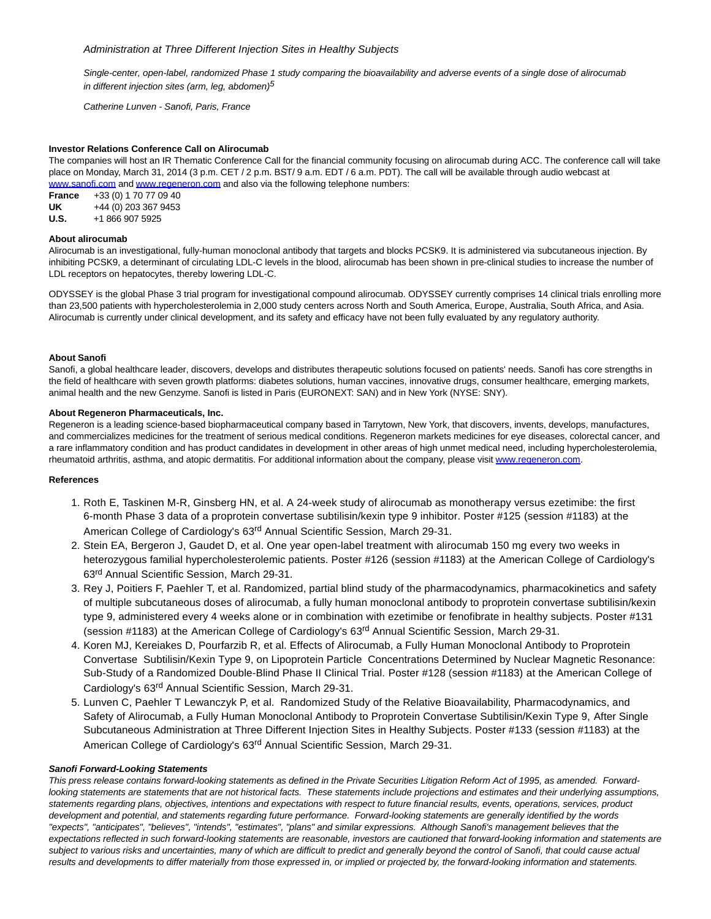Single-center, open-label, randomized Phase 1 study comparing the bioavailability and adverse events of a single dose of alirocumab in different injection sites (arm, leg, abdomen) $5$ 

Catherine Lunven - Sanofi, Paris, France

## **Investor Relations Conference Call on Alirocumab**

The companies will host an IR Thematic Conference Call for the financial community focusing on alirocumab during ACC. The conference call will take place on Monday, March 31, 2014 (3 p.m. CET / 2 p.m. BST/ 9 a.m. EDT / 6 a.m. PDT). The call will be available through audio webcast at [www.sanofi.com a](http://www.sanofi.com/)n[d www.regeneron.com a](http://www.regeneron.com/)nd also via the following telephone numbers:

**France** +33 (0) 1 70 77 09 40 **UK** +44 (0) 203 367 9453 **U.S.** +1 866 907 5925

### **About alirocumab**

Alirocumab is an investigational, fully-human monoclonal antibody that targets and blocks PCSK9. It is administered via subcutaneous injection. By inhibiting PCSK9, a determinant of circulating LDL-C levels in the blood, alirocumab has been shown in pre-clinical studies to increase the number of LDL receptors on hepatocytes, thereby lowering LDL-C.

ODYSSEY is the global Phase 3 trial program for investigational compound alirocumab. ODYSSEY currently comprises 14 clinical trials enrolling more than 23,500 patients with hypercholesterolemia in 2,000 study centers across North and South America, Europe, Australia, South Africa, and Asia. Alirocumab is currently under clinical development, and its safety and efficacy have not been fully evaluated by any regulatory authority.

### **About Sanofi**

Sanofi, a global healthcare leader, discovers, develops and distributes therapeutic solutions focused on patients' needs. Sanofi has core strengths in the field of healthcare with seven growth platforms: diabetes solutions, human vaccines, innovative drugs, consumer healthcare, emerging markets, animal health and the new Genzyme. Sanofi is listed in Paris (EURONEXT: SAN) and in New York (NYSE: SNY).

### **About Regeneron Pharmaceuticals, Inc.**

Regeneron is a leading science-based biopharmaceutical company based in Tarrytown, New York, that discovers, invents, develops, manufactures, and commercializes medicines for the treatment of serious medical conditions. Regeneron markets medicines for eye diseases, colorectal cancer, and a rare inflammatory condition and has product candidates in development in other areas of high unmet medical need, including hypercholesterolemia, rheumatoid arthritis, asthma, and atopic dermatitis. For additional information about the company, please visit [www.regeneron.com.](http://www.regeneron.com/)

#### **References**

- 1. Roth E, Taskinen M-R, Ginsberg HN, et al. A 24-week study of alirocumab as monotherapy versus ezetimibe: the first 6-month Phase 3 data of a proprotein convertase subtilisin/kexin type 9 inhibitor. Poster #125 (session #1183) at the American College of Cardiology's 63<sup>rd</sup> Annual Scientific Session, March 29-31.
- 2. Stein EA, Bergeron J, Gaudet D, et al. One year open-label treatment with alirocumab 150 mg every two weeks in heterozygous familial hypercholesterolemic patients. Poster #126 (session #1183) at the American College of Cardiology's 63rd Annual Scientific Session, March 29-31.
- 3. Rey J, Poitiers F, Paehler T, et al. Randomized, partial blind study of the pharmacodynamics, pharmacokinetics and safety of multiple subcutaneous doses of alirocumab, a fully human monoclonal antibody to proprotein convertase subtilisin/kexin type 9, administered every 4 weeks alone or in combination with ezetimibe or fenofibrate in healthy subjects. Poster #131 (session #1183) at the American College of Cardiology's 63<sup>rd</sup> Annual Scientific Session, March 29-31.
- 4. Koren MJ, Kereiakes D, Pourfarzib R, et al. Effects of Alirocumab, a Fully Human Monoclonal Antibody to Proprotein Convertase Subtilisin/Kexin Type 9, on Lipoprotein Particle Concentrations Determined by Nuclear Magnetic Resonance: Sub-Study of a Randomized Double-Blind Phase II Clinical Trial. Poster #128 (session #1183) at the American College of Cardiology's 63rd Annual Scientific Session, March 29-31.
- 5. Lunven C, Paehler T Lewanczyk P, et al. Randomized Study of the Relative Bioavailability, Pharmacodynamics, and Safety of Alirocumab, a Fully Human Monoclonal Antibody to Proprotein Convertase Subtilisin/Kexin Type 9, After Single Subcutaneous Administration at Three Different Injection Sites in Healthy Subjects. Poster #133 (session #1183) at the American College of Cardiology's 63<sup>rd</sup> Annual Scientific Session, March 29-31.

#### **Sanofi Forward-Looking Statements**

This press release contains forward-looking statements as defined in the Private Securities Litigation Reform Act of 1995, as amended. Forwardlooking statements are statements that are not historical facts. These statements include projections and estimates and their underlying assumptions, statements regarding plans, objectives, intentions and expectations with respect to future financial results, events, operations, services, product development and potential, and statements regarding future performance. Forward-looking statements are generally identified by the words "expects", "anticipates", "believes", "intends", "estimates", "plans" and similar expressions. Although Sanofi's management believes that the expectations reflected in such forward-looking statements are reasonable, investors are cautioned that forward-looking information and statements are subject to various risks and uncertainties, many of which are difficult to predict and generally beyond the control of Sanofi, that could cause actual results and developments to differ materially from those expressed in, or implied or projected by, the forward-looking information and statements.